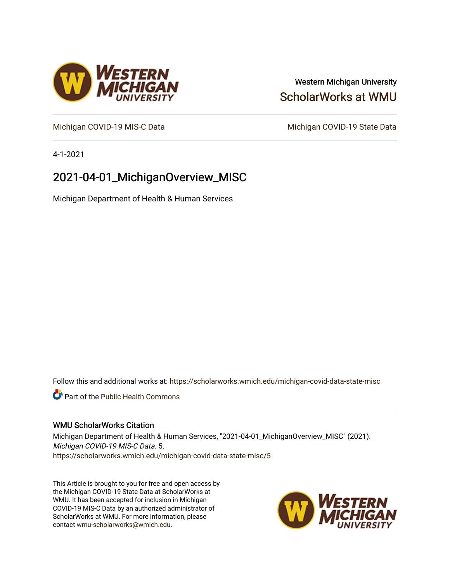## Western Michigan University [ScholarWorks at WMU](https://scholarworks.wmich.edu/)

[Michigan COVID-19 MIS-C Data](https://scholarworks.wmich.edu/michigan-covid-data-state-misc) Michigan COVID-19 State Data

4-1-2021

# 2021-04-01\_MichiganOverview\_MISC

Michigan Department of Health & Human Services

Follow this and additional works at: [https://scholarworks.wmich.edu/michigan-covid-data-state-misc](https://scholarworks.wmich.edu/michigan-covid-data-state-misc?utm_source=scholarworks.wmich.edu%2Fmichigan-covid-data-state-misc%2F5&utm_medium=PDF&utm_campaign=PDFCoverPages) 

**Part of the Public Health Commons** 

### WMU ScholarWorks Citation

Michigan Department of Health & Human Services, "2021-04-01\_MichiganOverview\_MISC" (2021). Michigan COVID-19 MIS-C Data. 5. [https://scholarworks.wmich.edu/michigan-covid-data-state-misc/5](https://scholarworks.wmich.edu/michigan-covid-data-state-misc/5?utm_source=scholarworks.wmich.edu%2Fmichigan-covid-data-state-misc%2F5&utm_medium=PDF&utm_campaign=PDFCoverPages) 

This Article is brought to you for free and open access by the Michigan COVID-19 State Data at ScholarWorks at WMU. It has been accepted for inclusion in Michigan COVID-19 MIS-C Data by an authorized administrator of ScholarWorks at WMU. For more information, please contact [wmu-scholarworks@wmich.edu](mailto:wmu-scholarworks@wmich.edu).



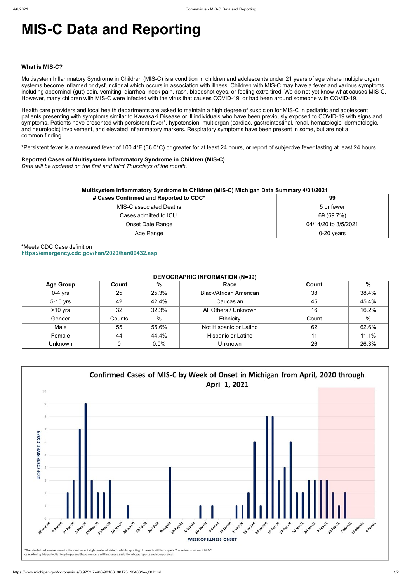# **MIS-C Data and Reporting**

#### **What is MIS-C?**

Multisystem Inflammatory Syndrome in Children (MIS-C) is a condition in children and adolescents under 21 years of age where multiple organ systems become inflamed or dysfunctional which occurs in association with illness. Children with MIS-C may have a fever and various symptoms, including abdominal (gut) pain, vomiting, diarrhea, neck pain, rash, bloodshot eyes, or feeling extra tired. We do not yet know what causes MIS-C. However, many children with MIS-C were infected with the virus that causes COVID-19, or had been around someone with COVID-19.

Health care providers and local health departments are asked to maintain a high degree of suspicion for MIS-C in pediatric and adolescent patients presenting with symptoms similar to Kawasaki Disease or ill individuals who have been previously exposed to COVID-19 with signs and symptoms. Patients have presented with persistent fever\*, hypotension, multiorgan (cardiac, gastrointestinal, renal, hematologic, dermatologic, and neurologic) involvement, and elevated inflammatory markers. Respiratory symptoms have been present in some, but are not a common finding.

\*Persistent fever is a measured fever of 100.4°F (38.0°C) or greater for at least 24 hours, or report of subjective fever lasting at least 24 hours.

#### **Reported Cases of Multisystem Inflammatory Syndrome in Children (MIS-C)**

*Data will be updated on the first and third Thursdays of the month.*

| Multisystem Inflammatory Syndrome in Children (MIS-C) Michigan Data Summary 4/01/2021 |                      |  |  |  |
|---------------------------------------------------------------------------------------|----------------------|--|--|--|
| # Cases Confirmed and Reported to CDC*                                                | 99                   |  |  |  |
| MIS-C associated Deaths                                                               | 5 or fewer           |  |  |  |
| Cases admitted to ICU                                                                 | 69 (69.7%)           |  |  |  |
| Onset Date Range                                                                      | 04/14/20 to 3/5/2021 |  |  |  |
| Age Range                                                                             | $0-20$ years         |  |  |  |

\*Meets CDC Case definition **<https://emergency.cdc.gov/han/2020/han00432.asp>**

#### **DEMOGRAPHIC INFORMATION (N=99)**

| <b>Age Group</b> | Count  | %     | Race                          | Count | $\%$          |
|------------------|--------|-------|-------------------------------|-------|---------------|
| $0-4$ yrs        | 25     | 25.3% | <b>Black/African American</b> | 38    | 38.4%         |
| 5-10 yrs         | 42     | 42.4% | Caucasian                     | 45    | 45.4%         |
| $>10$ yrs        | 32     | 32.3% | All Others / Unknown          | 16    | 16.2%         |
| Gender           | Counts | %     | Ethnicity                     | Count | $\frac{0}{0}$ |
| Male             | 55     | 55.6% | Not Hispanic or Latino        | 62    | 62.6%         |
| Female           | 44     | 44.4% | Hispanic or Latino            | 11    | 11.1%         |
| <b>Unknown</b>   |        | 0.0%  | <b>Unknown</b>                | 26    | 26.3%         |